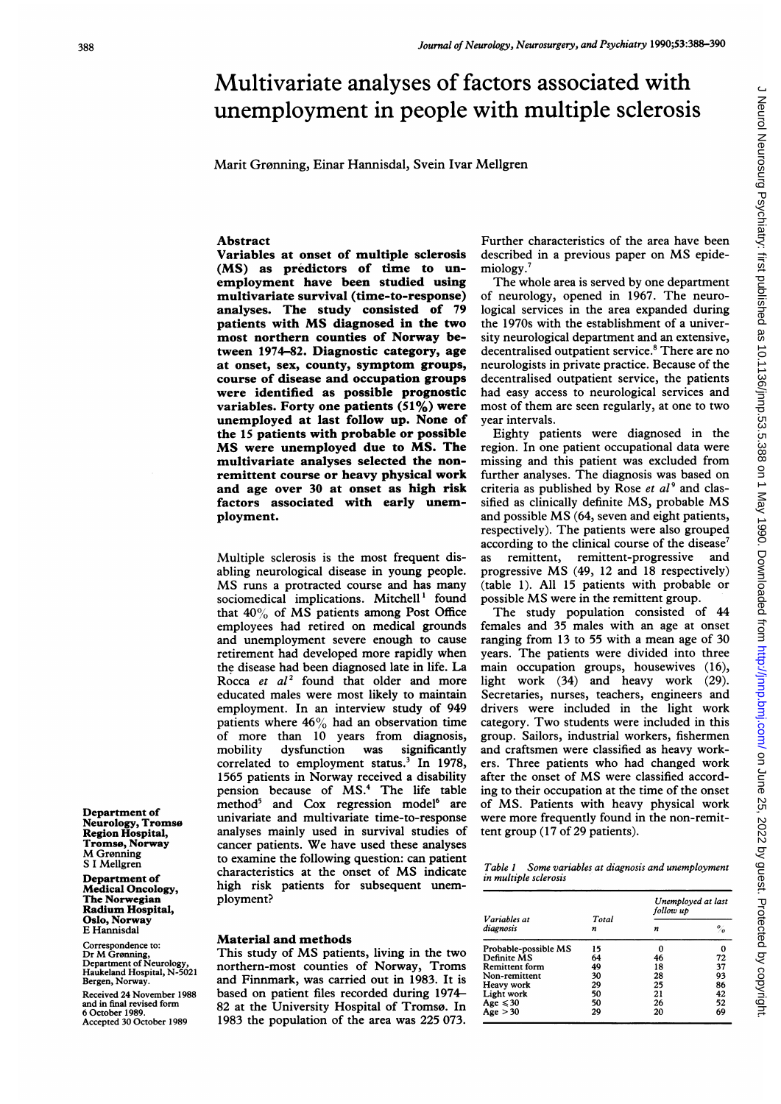# Multivariate analyses of factors associated with unemployment in people with multiple sclerosis

Marit Grønning, Einar Hannisdal, Svein Ivar Mellgren

### **Abstract**

Variables at onset of multiple sclerosis (MS) as predictors of time to unemployment have been studied using multivariate survival (time-to-response) analyses. The study consisted of 79 patients with MS diagnosed in the two most northern counties of Norway between 1974-82. Diagnostic category, age at onset, sex, county, symptom groups, course of disease and occupation groups were identified as possible prognostic variables. Forty one patients (51%) were unemployed at last follow up. None of the 15 patients with probable or possible MS were unemployed due to MS. The multivariate analyses selected the nonremittent course or heavy physical work and age over 30 at onset as high risk factors associated with early unemployment.

Multiple sclerosis is the most frequent disabling neurological disease in young people. MS runs <sup>a</sup> protracted course and has many sociomedical implications. Mitchell' found that  $40\%$  of MS patients among Post Office employees had retired on medical grounds and unemployment severe enough to cause retirement had developed more rapidly when the disease had been diagnosed late in life. La Rocca et  $al^2$  found that older and more educated males were most likely to maintain employment. In an interview study of 949 patients where  $46\%$  had an observation time of more than 10 years from diagnosis, mobility dysfunction was significantly correlated to employment status.<sup>3</sup> In 1978, 1565 patients in Norway received a disability pension because of MS.4 The life table method<sup>5</sup> and Cox regression model<sup>6</sup> are univariate and multivariate time-to-response analyses mainly used in survival studies of cancer patients. We have used these analyses to examine the following question: can patient characteristics at the onset of MS indicate high risk patients for subsequent unemployment?

# Material and methods

This study of MS patients, living in the two northern-most counties of Norway, Troms and Finnmark, was carried out in 1983. It is based on patient files recorded during 1974- 82 at the University Hospital of Tromsø. In 1983 the population of the area was 225 073.

Further characteristics of the area have been described in <sup>a</sup> previous paper on MS epidemiology.<sup>7</sup>

The whole area is served by one department of neurology, opened in 1967. The neurological services in the area expanded during the 1970s with the establishment of a university neurological department and an extensive, decentralised outpatient service.<sup>8</sup> There are no neurologists in private practice. Because of the decentralised outpatient service, the patients had easy access to neurological services and most of them are seen regularly, at one to two year intervals.

Eighty patients were diagnosed in the region. In one patient occupational data were missing and this patient was excluded from further analyses. The diagnosis was based on criteria as published by Rose et  $al<sup>9</sup>$  and classified as clinically definite MS, probable MS and possible MS (64, seven and eight patients, respectively). The patients were also grouped according to the clinical course of the disease<sup>7</sup> as remittent, remittent-progressive and progressive MS (49, <sup>12</sup> and <sup>18</sup> respectively) (table 1). All 15 patients with probable or possible MS were in the remittent group.

The study population consisted of 44 females and 35 males with an age at onset ranging from 13 to 55 with a mean age of 30 years. The patients were divided into three main occupation groups, housewives (16), light work (34) and heavy work (29). Secretaries, nurses, teachers, engineers and drivers were included in the light work category. Two students were included in this group. Sailors, industrial workers, fishermen and craftsmen were classified as heavy workers. Three patients who had changed work after the onset of MS were classified according to their occupation at the time of the onset of MS. Patients with heavy physical work were more frequently found in the non-remittent group (17 of 29 patients).

Table <sup>I</sup> Some variables at diagnosis and unemployment in multiple sclerosis

| Variables at<br>diagnosis | Total<br>n | Unemployed at last<br>follow up |    |
|---------------------------|------------|---------------------------------|----|
|                           |            | n                               | %  |
| Probable-possible MS      | 15         |                                 | 0  |
| Definite MS               | 64         | 46                              | 72 |
| <b>Remittent</b> form     | 49         | 18                              | 37 |
| Non-remittent             | 30         | 28                              | 93 |
| Heavy work                | 29         | 25                              | 86 |
| Light work                | 50         | 21                              | 42 |
| Age $\leqslant$ 30        | 50         | 26                              | 52 |
| Age > 30                  | 29         | 20                              | 69 |

Department of Neurology, Tromso Region Hospital, Tromso, Norway M Grønning S <sup>I</sup> Mellgren

Department of Medical Oncology, The Norwegian Radium Hospital, Oslo, Norway E Hannisdal

Correspondence to: Dr M Gronning, Department of Neurology, Haukeland Hospital, N-5021 Bergen, Norway.

Received 24 November 1988 and in final revised form 6 October 1989. Accepted 30 October 1989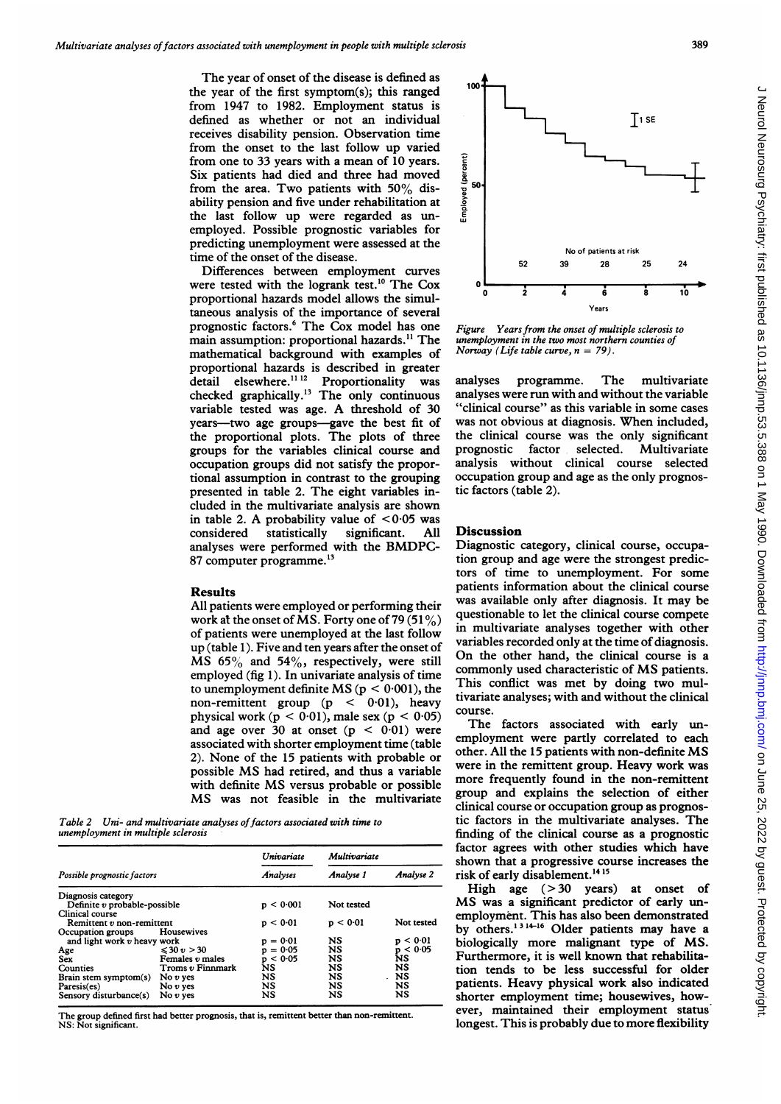The year of onset of the disease is defined as the year of the first symptom(s); this ranged from 1947 to 1982. Employment status is defined as whether or not an individual receives disability pension. Observation time from the onset to the last follow up varied from one to 33 years with a mean of 10 years. Six patients had died and three had moved from the area. Two patients with  $50\%$  disability pension and five under rehabilitation at the last follow up were regarded as unemployed. Possible prognostic variables for predicting unemployment were assessed at the time of the onset of the disease.

Differences between employment curves were tested with the logrank test.<sup>10</sup> The Cox proportional hazards model allows the simultaneous analysis of the importance of several prognostic factors.<sup>6</sup> The Cox model has one main assumption: proportional hazards.<sup>11</sup> The mathematical background with examples of proportional hazards is described in greater detail elsewhere.<sup>11 12</sup> Proportionality was checked graphically.'3 The only continuous variable tested was age. A threshold of <sup>30</sup> years--two age groups--gave the best fit of the proportional plots. The plots of three groups for the variables clinical course and occupation groups did not satisfy the proportional assumption in contrast to the grouping presented in table 2. The eight variables included in the multivariate analysis are shown in table 2. A probability value of  $\leq 0.05$  was considered statistically significant. All considered statistically analyses were performed with the BMDPC-87 computer programme.'3

#### Results

All patients were employed or performing their work at the onset of MS. Forty one of 79 (51%) of patients were unemployed at the last follow up (table 1). Five and ten years after the onset of MS 65% and 54%, respectively, were still employed (fig 1). In univariate analysis of time to unemployment definite MS ( $p < 0.001$ ), the non-remittent group  $(p < 0.01)$ , heavy physical work  $(p < 0.01)$ , male sex  $(p < 0.05)$ and age over 30 at onset  $(p < 0.01)$  were associated with shorter employment time (table 2). None of the 15 patients with probable or possible MS had retired, and thus <sup>a</sup> variable with definite MS versus probable or possible MS was not feasible in the multivariate

Table 2 Uni- and multivariate analyses of factors associated with time to unemployment in multiple sclerosis

|                              |                  | <b>Univariate</b> | Multivariate |             |
|------------------------------|------------------|-------------------|--------------|-------------|
| Possible prognostic factors  |                  | Analyses          | Analyse 1    | Analvse 2   |
| Diagnosis category           |                  |                   |              |             |
| Definite v probable-possible |                  | p < 0.001         | Not tested   |             |
| Clinical course              |                  |                   |              |             |
| Remittent v non-remittent    |                  | p < 0.01          | p < 0.01     | Not tested  |
| Occupation groups            | Housewives       |                   |              |             |
| and light work v heavy work  |                  | $= 0.01$          | NS           | < 0.01      |
| Age                          | $\leq 30 v > 30$ | $= 0.05$          | <b>NS</b>    | < 0.05<br>p |
| <b>Sex</b>                   | Females v males  | < 0.05<br>D       | NS           | ΝS          |
| Counties                     | Troms v Finnmark | NS                | NS           | <b>NS</b>   |
| Brain stem symptom(s)        | No $v$ yes       | NS                | NS           | NS          |
| Paresis(es)                  | No $v$ yes       | <b>NS</b>         | NS           | NS          |
| Sensory disturbance(s)       | No $v$ ves       | NS                | NS           | NS          |

The group defined first had better prognosis, that is, remittent better than non-remittent. NS: Not significant.



Figure Years from the onset of multiple sclerosis to unemployment in the two most northern counties of Norway (Life table curve,  $n = 79$ ).

analyses programme. The multivariate analyses were run with and without the variable "clinical course" as this variable in some cases was not obvious at diagnosis. When included, the clinical course was the only significant prognostic factor selected. Multivariate analysis without clinical course selected occupation group and age as the only prognostic factors (table 2).

## Discussion

Diagnostic category, clinical course, occupation group and age were the strongest predictors of time to unemployment. For some patients information about the clinical course was available only after diagnosis. It may be questionable to let the clinical course compete in multivariate analyses together with other variables recorded only at the time of diagnosis. On the other hand, the clinical course is <sup>a</sup> commonly used characteristic of MS patients. This conflict was met by doing two multivariate analyses; with and without the clinical course.

The factors associated with early unemployment were partly correlated to each other. All the <sup>15</sup> patients with non-definite MS were in the remittent group. Heavy work was more frequently found in the non-remittent group and explains the selection of either clinical course or occupation group as prognostic factors in the multivariate analyses. The finding of the clinical course as a prognostic factor agrees with other studies which have shown that a progressive course increases the risk of early disablement.'4 <sup>15</sup>

High age  $( > 30$  years) at onset of MS was <sup>a</sup> significant predictor of early unemployment. This has also been demonstrated by others.<sup>1314-16</sup> Older patients may have a biologically more malignant type of MS. Furthermore, it is well known that rehabilitation tends to be less successful for older patients. Heavy physical work also indicated shorter employment time; housewives, however, maintained their employment status longest. This is probably due to more flexibility